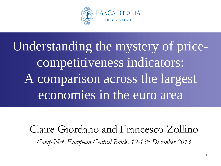

Understanding the mystery of pricecompetitiveness indicators: A comparison across the largest economies in the euro area

Claire Giordano and Francesco Zollino *Comp-Net, European Central Bank, 12-13th December 2013*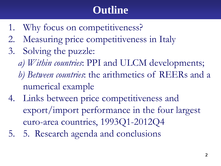# **Outline**

- 1. Why focus on competitiveness?
- 2. Measuring price competitiveness in Italy
- 3. Solving the puzzle:
	- *a) Within countries*: PPI and ULCM developments;
	- *b) Between countries*: the arithmetics of REERs and a numerical example
- 4. Links between price competitiveness and export/import performance in the four largest euro-area countries, 1993Q1-2012Q4
- 5. 5. Research agenda and conclusions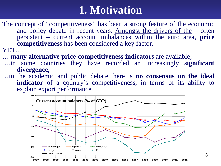# **1. Motivation**

The concept of "competitiveness" has been a strong feature of the economic and policy debate in recent years. Amongst the drivers of the – often persistent – current account imbalances within the euro area, **price**

- 
- YET....<br>
... **many alternative price-competitiveness indicators** are available;<br>
....in some countries they have recorded an increasingly **significant**<br>
divergence;
- **divergence**; …in the academic and public debate there is **no consensus on the ideal indicator** of a country's competitiveness, in terms of its ability to explain export performance.

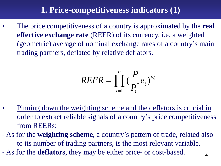## **1. Price-competitiveness indicators (1)**

• The price competitiveness of a country is approximated by the **real effective exchange rate** (REER) of its currency, i.e. a weighted (geometric) average of nominal exchange rates of a country's main trading partners, deflated by relative deflators.

$$
REER = \prod_{i=1}^{n} \left(\frac{P}{P_i^*}e_i\right)^{w_i}
$$

Pinning down the weighting scheme and the deflators is crucial in order to extract reliable signals of a country's price competitiveness from REERs:

- As for the **weighting scheme**, a country's pattern of trade, related also to its number of trading partners, is the most relevant variable. - As for the **deflators**, they may be either price- or cost-based.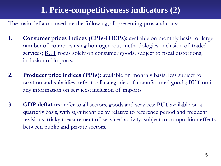## **1. Price-competitiveness indicators (2)**

The main deflators used are the following, all presenting pros and cons:

- **1. Consumer prices indices (CPIs-HICPs):** available on monthly basis for large number of countries using homogeneous methodologies; inclusion of traded services; **BUT** focus solely on consumer goods; subject to fiscal distortions; inclusion of imports.
- **2. Producer price indices (PPIs):** available on monthly basis; less subject to taxation and subsidies; refer to all categories of manufactured goods; BUT omit any information on services; inclusion of imports.
- **3. GDP deflators:** refer to all sectors, goods and services; **BUT** available on a quarterly basis, with significant delay relative to reference period and frequent revisions; tricky measurement of services' activity; subject to composition effects between public and private sectors.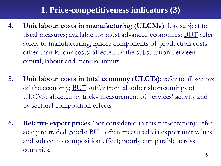## **1. Price-competitiveness indicators (3)**

- **4. Unit labour costs in manufacturing (ULCMs)**: less subject to fiscal measures; available for most advanced economies; BUT refer solely to manufacturing; ignore components of production costs other than labour costs; affected by the substitution between capital, labour and material inputs.
- **5. Unit labour costs in total economy (ULCTs)**: refer to all sectors of the economy; BUT suffer from all other shortcomings of ULCMs; affected by tricky measurement of services' activity and by sectoral composition effects.
- **6. Relative export prices** (not considered in this presentation): refer solely to traded goods; **BUT** often measured via export unit values and subject to composition effect; poorly comparable across countries.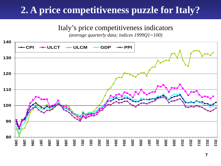## <span id="page-6-0"></span>**2. A price competitiveness puzzle for Italy?**

Italy's price competitiveness indicators

*(average quarterly data; indices 1999Q1=100)*

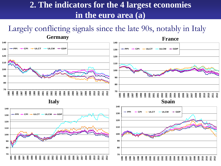### **2. The indicators for the 4 largest economies in the euro area (a)**

Largely conflicting signals since the late 90s, notably in Italy

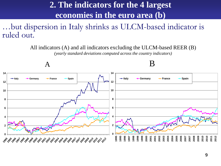## **2. The indicators for the 4 largest economies in the euro area (b)**

…but dispersion in Italy shrinks as ULCM-based indicator is ruled out.

All indicators (A) and all indicators excluding the ULCM-based REER (B)

*(yearly standard deviations computed across the country indicators)*

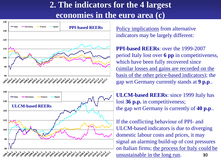## **2. The indicators for the 4 largest economies in the euro area (c)**





Policy implications from alternative indicators may be largely different:

**PPI-based REERs**: over the 1999-2007 period Italy lost over **6 pp** in competitiveness, which have been fully recovered since (similar losses and gains are recorded on the basis of the other price-based indicators); the gap wrt Germany currently stands at **9 p.p**..

**ULCM-based REERs**: since 1999 Italy has lost **36 p.p.** in competitiveness; the gap wrt Germany is currently of **40 p.p**..

10 If the conflicting behaviour of PPI- and ULCM-based indicators is due to diverging domestic labour costs and prices, it may signal an alarming build-up of cost pressures on Italian firms; the process for Italy could be unsustainable in the long run.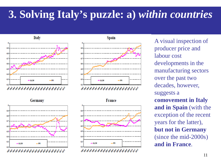**Italy** 



Germany





**France** 



A visual inspection of producer price and labour cost developments in the manufacturing sectors over the past two decades, however, suggests a **comovement in Italy and in Spain** (with the exception of the recent years for the latter), **but not in Germany** (since the mid-2000s) **and in France**.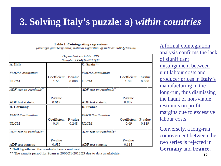Table 1. Cointegrating regressions

(average quarterly data; natural logarithm of indices  $2005QI = 100$ )

|                          |                     |       | Dependent variable: PPI |                     |       |
|--------------------------|---------------------|-------|-------------------------|---------------------|-------|
|                          |                     |       | Sample: 1994Q1-2012Q3   |                     |       |
| A. Italy                 |                     |       | C. Spain**              |                     |       |
|                          |                     |       |                         |                     |       |
| <b>FMOLS</b> estimation  |                     |       | <b>FMOLS</b> estimation |                     |       |
|                          | Coefficient P-value |       |                         | Coefficient P-value |       |
| <b>ULCM</b>              | 1.65                | 0.000 | <b>ULCM</b>             | 1.08                | 0.000 |
|                          |                     |       |                         |                     |       |
| ADF test on residuals*   |                     |       | ADF test on residuals*  |                     |       |
|                          |                     |       |                         |                     |       |
|                          | P-value             |       |                         | P-value             |       |
| ADF test statistic       | 0.019               |       | ADF test statistic      | 0.837               |       |
| <b>B. Germany</b>        |                     |       | <b>D. France</b>        |                     |       |
|                          |                     |       |                         |                     |       |
| <b>FMOLS</b> estimation  |                     |       | <b>FMOLS</b> estimation |                     |       |
|                          | Coefficient P-value |       |                         | Coefficient P-value |       |
| <b>ULCM</b>              | 0.64                | 0.248 | <b>ULCM</b>             | $-0.69$             | 0.119 |
|                          |                     |       |                         |                     |       |
| $ADF$ test on residuals* |                     |       | ADF test on residuals*  |                     |       |
|                          |                     |       |                         |                     |       |
|                          | P-value             |       |                         | P-value             |       |
| ADF test statistic       | 0.682               |       | ADF test statistic      | 0.118               |       |

\* Null hypothesis: the residuals have a unit root.

\*\* The sample period for Spain is 2000Q1-2012Q3 due to data availability.

A formal cointegration analysis confirms the lack of significant misalignment between unit labour costs and producer prices in **Italy**'s manufacturing in the long-run, thus dismissing the haunt of non-viable restraints on profit margins due to excessive labour costs.

Conversely, a long-run comovement between the two series is rejected in **Germany** and **France**.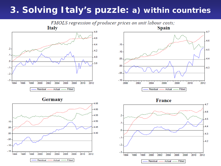



Germany







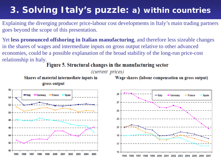Explaining the diverging producer price-labour cost developments in Italy's main trading partners goes beyond the scope of this presentation.

Yet **less pronounced offshoring in Italian manufacturing**, and therefore less sizeable changes in the shares of wages and intermediate inputs on gross output relative to other advanced economies, could be a possible explanation of the broad stability of the long-run price-cost relationship in Italy.<br>Figure 5. Structural changes in the manufacturing sector

(current prices)

Shares of material intermediate inputs in gross output

Wage shares (labour compensation on gross output)



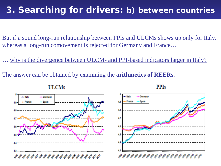### **3. Searching for drivers: b)** *between* **countries**

But if a sound long-run relationship between PPIs and ULCMs shows up only for Italy, whereas a long-run comovement is rejected for Germany and France…

....why is the divergence between ULCM- and PPI-based indicators larger in Italy?

The answer can be obtained by examining the **arithmetics of REERs**.







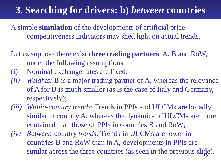## **3. Searching for drivers: b)** *between* **countries**

A simple **simulation** of the developments of artificial pricecompetitiveness indicators may shed light on actual trends.

Let us suppose there exist **three trading partners**: A, B and RoW, under the following assumptions:

- (i) Nominal exchange rates are fixed;
- *(ii) Weights:* B is a major trading partner of A, whereas the relevance of A for B is much smaller (as is the case of Italy and Germany, respectively);
- *(iii) Within-country trends*: Trends in PPIs and ULCMs are broadly similar in country A, whereas the dynamics of ULCMs are more contained than those of PPIs in countries B and RoW;
- similar across the three countries (as seen in the previous slide). *(iv) Between-country trends*: Trends in ULCMs are lower in countries B and RoW than in A; developments in PPIs are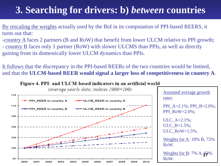## **3. Searching for drivers: b)** *between* **countries**

By rescaling the weights actually used by the BoI in its computation of PPI-based REERS, it turns out that:

-country A faces 2 partners (B and RoW) that benefit from lower ULCM relative to PPI growth; - country B faces only 1 partner (RoW) with slower ULCMS than PPIs, as well as directly gaining from its domestically lower ULCM dynamics than PPIs.

It follows that the discrepancy in the PPI-based REERs of the two countries would be limited, and that the **ULCM-based REER would signal a larger loss of competitiveness in country A**.

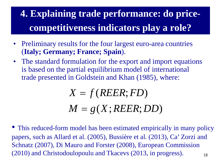# **4. Explaining trade performance: do pricecompetitiveness indicators play a role?**

- Preliminary results for the four largest euro-area countries (**Italy; Germany; France; Spain**).
- The standard formulation for the export and import equations is based on the partial equilibrium model of international trade presented in Goldstein and Khan (1985), where:

$$
X = f(REER; FD)
$$
  

$$
M = g(X; REER; DD)
$$

18 This reduced-form model has been estimated empirically in many policy papers, such as Allard et al. (2005), Bussière et al. (2013), Ca' Zorzi and Schnatz (2007), Di Mauro and Forster (2008), European Commission (2010) and Christodoulopoulu and Tkacevs (2013, in progress).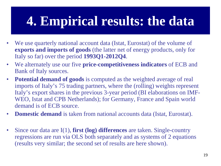# **4. Empirical results: the data**

- We use quarterly national account data (Istat, Eurostat) of the volume of **exports and imports of goods** (the latter net of energy products, only for Italy so far) over the period **1993Q1-2012Q4**.
- We alternately use our five **price-competitiveness indicators** of ECB and Bank of Italy sources.
- **Potential demand of goods** is computed as the weighted average of real imports of Italy's 75 trading partners, where the (rolling) weights represent Italy's export shares in the previous 3-year period (BI elaborations on IMF-WEO, Istat and CPB Netherlands); for Germany, France and Spain world demand is of ECB source.
- **Domestic demand** is taken from national accounts data (Istat, Eurostat).
- Since our data are I(1), **first (log) differences** are taken. Single-country regressions are run via OLS both separately and as systems of 2 equations (results very similar; the second set of results are here shown).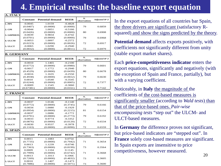## **4. Empirical results: the baseline export equation**

| A. ITALY                                                                      |                       |                         |                       |                             |                        |
|-------------------------------------------------------------------------------|-----------------------|-------------------------|-----------------------|-----------------------------|------------------------|
|                                                                               | <b>Constant</b>       | <b>Potential demand</b> | <b>REER</b>           | N.<br>observations          | Adjusted $R^{\wedge}2$ |
| 1. PPI                                                                        | $-0.0045$             | 1.0159                  | $-0.4828$             |                             |                        |
|                                                                               | (0.0407)              | (0.0000)                | (0.0000)              | 79                          | 0.6859                 |
| 2. CPI                                                                        | $-0.0044$             | 1.0051                  | $-0.5166$             |                             |                        |
|                                                                               | (0.0426)              | (0.0000)                | (0.0000)              | 80                          | 0.6908                 |
| 3. GDPDEFL                                                                    | $-0.0039$             | 0.9834                  | $-0.4742$             |                             |                        |
|                                                                               | (0.0701)              | (0.0000)                | (0.0000)              | 79                          | 0.6968                 |
| 4. ULCM                                                                       | $-0.0053$             | 1.0097                  | $-0.2572$             |                             |                        |
|                                                                               | (0.0223)              | (0.0000)                | (0.0026)              | 72                          | 0.6917                 |
| 5. ULCT                                                                       | $-0.0065$             | 1.0290                  | $-0.2940$             |                             |                        |
|                                                                               | (0.0032)              | (0.0000)                | (0.0011)              | 72                          | 0.6979                 |
| <b>B. GERMANY</b>                                                             |                       |                         |                       |                             |                        |
|                                                                               | <b>Constant</b>       | <b>Potential demand</b> | <b>REER</b>           | $N_{\cdot}$                 | Adjusted $R^2$         |
|                                                                               |                       |                         |                       | observations                |                        |
| 1. PPI                                                                        | $-0.0010$             | 1.1465                  | $-0.2100$             |                             |                        |
|                                                                               | (0.6772)              | (0.0000)                | (0.0980)              | 79                          | 0.6601                 |
| 2. CPI                                                                        | $-0.0017$             | 1.1772                  | $-0.2940$             |                             |                        |
|                                                                               | (0.4529)              | (0.0000)                | (0.0439)              | 80                          | 0.6678                 |
| 3. GDPDEFL                                                                    | $-0.0016$             | 1.1635                  | $-0.2550$             |                             |                        |
|                                                                               | (0.4938)              | (0.0000)                | (0.0652)              | 79                          | 0.6630                 |
| 4. ULCM                                                                       | 0.0010                | 1.0540                  | $-0.3545$             |                             |                        |
|                                                                               | (0.6244)              | (0.0000)                | (0.0005)              | 72                          | 0.7377                 |
| 5. ULCT                                                                       | $-0.0009$             | 1.1545                  | $-0.3060$             |                             |                        |
|                                                                               | (0.67381)             | (0.0000)                | (0.0161)              | 72                          | 0.7142                 |
| <b>C. FRANCE</b>                                                              |                       |                         |                       |                             |                        |
|                                                                               | <b>Constant</b>       | <b>Potential demand</b> | <b>REER</b>           | $N_{\cdot}$<br>observations | Adjusted $R^2$         |
| 1. PPI                                                                        | $-0.0037$             | 1.0146                  | $-0.1140$             |                             |                        |
|                                                                               |                       | (0.0000)                | (0.3745)              | 79                          |                        |
| 2. CPI                                                                        |                       |                         |                       |                             | 0.6166                 |
|                                                                               | (0.0772)<br>$-0.0034$ | 1.0080                  |                       |                             |                        |
|                                                                               | (0.0954)              | (0.0000)                | $-0.1929$<br>(0.2215) | 81                          | 0.6154                 |
|                                                                               | $-0.0037$             | 1.0086                  | $-0.1772$             |                             |                        |
|                                                                               | (0.0791)              | (0.0000)                | (0.2773)              | 79                          | 0.6192                 |
|                                                                               | $-0.0033$             | 0.9774                  | $-0.3352$             |                             |                        |
|                                                                               | (0.0876)              | (0.0000)                | (0.0120)              | 72                          | 0.6534                 |
|                                                                               | $-0.0030$             | 0.9537                  | $-0.3978$             |                             |                        |
|                                                                               | (0.1163)              | (0.0000)                | (0.0090)              | 72                          | 0.6559                 |
| <b>D. SPAIN</b>                                                               |                       |                         |                       |                             |                        |
|                                                                               | <b>Constant</b>       | <b>Potential demand</b> | <b>REER</b>           | N.                          | Adjusted $R^2$         |
|                                                                               | 0.0011                | 1.1083                  | 0.0754                | observations                |                        |
|                                                                               | (0.7735)              | (0.0000)                | (0.7942)              | 71                          | 0.3654                 |
|                                                                               | 0.0013                | 1.1239                  | $-0.0746$             |                             |                        |
|                                                                               |                       |                         |                       | 73                          |                        |
|                                                                               | (0.7363)              | (0.0000)                | (0.8199)              |                             | 0.3564                 |
|                                                                               | 0.0009                | 1.1104                  | 0.1145                |                             |                        |
|                                                                               | (0.7999)              | (0.0000)                | (0.6742)              | 71                          | 0.3668                 |
| 3. GDPDEFL<br>4. ULCM<br>5. ULCT<br>1. PPI<br>2. CPI<br>3. GDPDEFL<br>4. ULCM | 0.0013                | 1.1013                  | 0.1066                |                             |                        |
| 5. ULCT                                                                       | (0.7269)<br>0.0010    | (0.0000)<br>1.1407      | (0.4832)<br>$-0.1473$ | 73                          | 0.3605                 |

In the export equations of all countries bar Spain, the three drivers are significant (satisfactory Rsquared) and show the signs predicted by the theory.

**Potential demand** affects exports positively, with coefficients not significantly different from unity (stable export market shares).

Each **price-competitiveness indicator** enters the export equations, significantly and negatively (with the exception of Spain and France, partially), but with a varying coefficient.

Noticeably, in **Italy** the magnitude of the coefficients of the cost-based measures is significantly smaller (according to *Wald tests*) than that of the price-based ones. *Pair-wise encompassing tests* "step out" the ULCM- and ULCT-based measures.

In **Germany** the difference proves not significant, but price-based indicators are "stepped out". In **France** solely cost-based measures are significant. In Spain exports are insensitive to price competitiveness, however measured.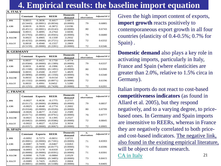### **4. Empirical results: the baseline import equation**

<span id="page-20-0"></span>

| <b>A. ITALY</b>   |                       |                    |                       |                           |                    |                |
|-------------------|-----------------------|--------------------|-----------------------|---------------------------|--------------------|----------------|
|                   | Constant              | <b>Exports</b>     | <b>REER</b>           | <b>Domestic</b><br>demand | N.<br>observations | Adjusted $R^2$ |
| 1. PPI            | 0.0015                | 0.3836             | $-0.4417$             | 2.6872                    |                    |                |
|                   | (0.5443)              | (0.0001)           | (0.0034)              | (0.0000)                  | 79                 | 0.6885         |
| 2. CPI            | 0.0019                | 0.3919             | $-0.3872$             | 2.6196                    |                    |                |
|                   | (0.4511)              | (0.0001)           | (0.0142)              | (0.0000)                  | 80                 | 0.6743         |
| 3. GDPDEFI        | 0.0015                | 0.4095             | $-0.2764$             | 2.6036                    |                    |                |
|                   | (0.5703)              | (0.0001)           | (0.0565)              | (0.0000)                  | 79                 | 0.6680         |
| 4. ULCM           | 0.0023                | 0.4905             | $-0.1339$             | 2.2932                    |                    |                |
|                   | (0.4232)              | (0.0000)           | (0.2721)              | (0.0000)                  | 72                 | 0.6332         |
| 5. ULCT           | 0.0018                | 0.4940             | $-0.1557$             | 2.2869                    |                    |                |
|                   | (0.5159)              | (0.0000)           | (0.2281)              | (0.0000)                  | 72                 | 0.6346         |
| <b>B. GERMANY</b> |                       |                    |                       |                           |                    |                |
|                   | Constant              | <b>Exports</b>     | <b>REER</b>           | <b>Domestic</b>           | N.                 | Adjusted R^2   |
|                   |                       |                    |                       | demand                    | observations       |                |
| 1. PPI            | 0.0037                | 0.4421             | $-0.1750$             | 1.4774                    |                    |                |
|                   | (0.0584)              | (0.0000)           | (0.1389)              | (0.0000)                  | 79                 | 0.6337         |
| 2. CPI            | 0.0031                | 0.4650             | $-0.1996$             | 1.4925                    |                    |                |
|                   | (0.1168)              | (0.0000)           | (0.1491)              | (0.0000)                  | 80                 | 0.6366         |
| 3. GDPDEFI        | 0.0033                | 0.4500             | $-0.1937$             | 1.4829                    |                    |                |
|                   | (0.0890)              | (0.0000)           | (0.1350)              | (0.0000)                  | 79                 | 0.6340         |
| 4. ULCM           | 0.0033                | 0.4827             | $-0.0154$             | 1.5090                    |                    |                |
|                   | (0.1332)              | (0.0000)           | (0.8971)              | (0.0000)                  | 72                 | 0.6196         |
| 5. ULCT           | 0.0033                | 0.4991             | 0.0452                | 1.5280                    |                    |                |
|                   | (0.1255)              | (0.0000)           | (0.7428)              | (0.0000)                  | 72                 | 0.6201         |
| <b>C. FRANCE</b>  |                       |                    |                       |                           |                    |                |
|                   | Constant              | <b>Exports</b>     | <b>REER</b>           | <b>Domestic</b><br>demand | N.<br>observations | Adjusted R^2   |
| 1. PPI            | $-0.0027$             | 0.4636             | $-0.1775$             | 2.2717                    |                    |                |
|                   | (0.0117)              | (0.0000)           | (0.0080)              | (0.0000)                  | 79                 | 0.8837         |
| 2. CPI            | $-0.0025$             | 0.4648             | $-0.1774$             | 2.2602                    |                    |                |
|                   | (0.0164)              | (0.0000)           | (0.0326)              | (0.0000)                  | 80                 | 0.8799         |
| 3. GDPDEFI        | $-0.0026$             | 0.4677             | $-0.1542$             | 2.2589                    |                    |                |
|                   | (0.0171)              | (0.0000)           | (0.0761)              | (0.0000)                  | 79                 | 0.8777         |
| 4. ULCM           | $-0.0021$             | 0.4232             | $-0.1395$             | 2.2527                    |                    |                |
|                   | (0.0462)              | (0.0000)           | (0.0586)              | (0.0000)                  | 72                 | 0.8845         |
|                   |                       |                    |                       |                           |                    |                |
| 5. ULCT           | $-0.0022$<br>(0.0357) | 0.4027<br>(0.0000) | $-0.2254$<br>(0.0067) | 2.3034<br>(0.0000)        | 72                 | 0.8905         |
| D. SPAIN          |                       |                    |                       |                           |                    |                |
|                   |                       |                    |                       | <b>Domestic</b>           | $N_{\cdot}$        |                |
|                   | Constant              | <b>Exports</b>     | <b>REER</b>           | demand                    | observations       | Adjusted R^2   |
| 1. PPI            | $-0.0092$             | 0.7273             | $-0.0651$             | 2.0721                    |                    |                |
|                   | (0.0001)              | (0.0000)           | (0.7181)              | (0.0000)                  | 71                 | 0.8393         |
| 2. CPI            | $-0.0087$             | 0.7439             | $-0.0467$             | 2.0263                    |                    |                |
|                   | (0.0001)              | (0.0000)           | (0.8177)              | (0.0000)                  | 73                 | 0.8396         |
| 3. GDPDEFI        | $-0.0093$             | 0.7278             | $-0.0359$             | 2.0768                    |                    |                |
|                   | (0.0000)              | (0.0000)           | (0.8391)              | (0.0000)                  | 71                 | 0.8391         |
| 4. ULCM           | $-0.0090$             | 0.7539             | $-0.0884$             | 2.0529                    |                    |                |
|                   | (0.0001)              | (0.0000)           | (0.3485)              | (0.0000)                  | 73                 | 0.8415         |

(0.0001) (0.0000) (0.5188) (0.0000) 73 0.8405

**5. ULCT** -0.0089 0.7425 -0.0925 2.0604<br>(0.0001) (0.0000) (0.5188) (0.0000)

Given the high import content of exports, **import growth** reacts positively to contemporaneous export growth in all four countries (elasticity of 0.4-0.5%; 0.7% for Spain) .

**Domestic demand** also plays a key role in activating imports, particularly in Italy, France and Spain (where elasticities are greater than 2.0%, relative to 1.5% circa in Germany).

21 Italian imports do not react to cost-based **competitiveness indicators** (as found in Allard et al. 2005), but they respond negatively, and to a varying degree, to pricebased ones. In Germany and Spain imports are insensitive to REERs, whereas in France they are negatively correlated to both priceand cost-based indicators. The negative link, also found in the existing empirical literature, will be object of future research. [CA in Italy](#page-30-0)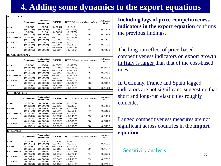## **4. Adding some dynamics to the export equations**

<span id="page-21-0"></span>

| <b>A. ITALY</b>   |                       |                            |                       |                       |                 |                                  |
|-------------------|-----------------------|----------------------------|-----------------------|-----------------------|-----------------|----------------------------------|
|                   | Constant              | <b>Potential</b><br>demand | <b>REER</b>           | $REER(-4)$            | N. observations | <b>Adjusted</b><br>$R^{\wedge}2$ |
| 1. PPI            | $-0.0055$<br>(0.0109) | 1.0255<br>(0.0000)         | $-0.5215$<br>(0.0000) | $-0.2491$<br>(0.0197) | 75              | 0.7204                           |
| 2. CPI            | $-0.0054$             | 1.0169                     | $-0.5694$             | $-0.2775$             |                 |                                  |
|                   | (0.0102)              | (0.0000)                   | (0.0000)              | (0.0113)              | 76              | 0.7284                           |
| 3. GDPDEFL        | $-0.0049$             | 0.9972                     | $-0.5101$             | $-0.2430$             |                 |                                  |
|                   | (0.0172)              | (0.0000)                   | (0.0000)              | (0.0172)              | 75              | 0.7320                           |
| 4. ULCM           | -0.0044               | 1.0342                     | $-0.2384$             | -0.1761               |                 |                                  |
|                   | (0.0550)              | (0.0000)                   | (0.0087)              | (0.0318)              | 68              | 0.7158                           |
| 5. ULCT           | $-0.0062$             | 1.0202                     | $-0.3089$             | $-0.0706$             |                 |                                  |
|                   | (0.0045)              | (0.0000)                   | (0.0034)              | (0.4182)              | 68              | 0.7081                           |
| <b>B. GERMANY</b> |                       |                            |                       |                       |                 |                                  |
|                   | <b>Constant</b>       | <b>Potential</b><br>demand | <b>REER</b>           | $REER(-4)$            | N. observations | <b>Adjusted</b><br>$R^{\wedge}2$ |
| 1. PPI            | $-0.0003$             | 1.1320                     | $-0.2552$             | $-0.0775$             |                 |                                  |
|                   | (0.8890)              | (0.0000)                   | (0.0506)              | (0.5286)              | 75              | 0.6656                           |
| 2. CPI            | $-0.0010$             | 1.1675                     | $-0.3249$             | $-0.0315$             |                 |                                  |
|                   | (0.6502)              | (0.0000)                   | (0.0296)              | (0.8319)              | 76              | 0.6710                           |
| 3. GDPDEFL        | $-0.0010$             | 1.1574                     | $-0.2601$             | $-0.0315$             | 75              | 0.6632                           |
| <b>4. ULCM</b>    | (0.6750)<br>0.0014    | (0.0000)<br>1.0417         | (0.0647)<br>$-0.3698$ | (0.8197)<br>$-0.0203$ |                 |                                  |
|                   | (0.5341)              | (0.0000)                   | (0.0006)              | (0.8223)              | 68              | 0.7388                           |
| 5. ULCT           | $-0.0002$             | 1.1530                     | $-0.3169$             | 0.0804                |                 |                                  |
|                   | (0.9355)              | (0.0000)                   | (0.0176)              | (0.5196)              | 68              | 0.7174                           |
|                   |                       |                            |                       |                       |                 |                                  |
| <b>C. FRANCE</b>  |                       |                            |                       |                       |                 |                                  |
|                   | <b>Constant</b>       | <b>Potential</b><br>demand | <b>REER</b>           | $REER(-4)$            | N. observations | <b>Adjusted</b><br>$R^{\wedge}2$ |
| 1. PPI            | $-0.0031$             | 0.9894                     | $-0.1628$             | $-0.1530$             |                 |                                  |
|                   | (0.1253)              | (0.0000)                   | (0.2139)              | (0.2279)              | 75              | 0.6411                           |
| 2. CPI            | $-0.0029$             | 0.9913                     | $-0.2248$             | $-0.1410$             |                 |                                  |
|                   | (0.1468)              | (0.0000)                   | (0.1674)              | (0.3581)              | 77              | 0.6369                           |
| 3. GDPDEFL        | $-0.0031$             | 0.9810                     | $-0.2398$             | $-0.1841$             |                 |                                  |
| 4. ULCM           | (0.1319)<br>$-0.0029$ | (0.0000)<br>0.9604         | (0.1591)<br>$-0.3530$ | (0.2455)<br>$-0.0749$ | 75              | 0.6434                           |
|                   | (0.1429)              | (0.0000)                   | (0.0098)              | (0.5883)              | 68              | 0.6570                           |
| 5. ULCT           | $-0.0028$             | 0.9451                     | $-0.4028$             | $-0.1570$             |                 |                                  |
|                   | (0.1591)              | (0.0000)                   | (0.0099)              | (0.3087)              | 68              | 0.6592                           |
| <b>D. SPAIN</b>   |                       |                            |                       |                       |                 |                                  |
|                   |                       |                            |                       |                       |                 |                                  |
|                   | <b>Constant</b>       | <b>Potential</b><br>demand | <b>REER</b>           | $REER(-4)$            | N. observations | <b>Adjusted</b><br>$R^{\wedge}2$ |
| 1. PPI            | $-0.0003$             | 1.1585                     | 0.0434                | $-0.0707$             |                 |                                  |
|                   | (0.6631)              | (0.0000)                   | (0.8760)              | (0.8119)              | 67              | 0.4129                           |
| 2. CPI            | $-0.0008$             | 1.1768                     | $-0.0273$             | $-0.2893$             |                 |                                  |
|                   | (0.8261)              | (0.0000)                   | (0.9288)              | (0.3796)              | 69              | 0.4147                           |
| 3. GDPDEFL        | 0.0012<br>(0.7520)    | 1.1078<br>(0.0000)         | 0.1244<br>(0.6512)    | $-0.1120$<br>(0.6771) | 71              | 0.3589                           |
| 4. ULCM           | 0.0013                | 1.1034                     | 0.1580                | $-0.0422$             |                 |                                  |
|                   | (0.7479)              | (0.0000)                   | (0.3340)              | (0.7939)              | 69              | 0.3762                           |
| 5. ULCT           | 0.0005                | 1.1569                     | $-0.1417$             | $-0.0591$             |                 |                                  |
|                   | (0.8898)              | (0.0000)                   | (0.5453)              | (0.8145)              | 69              | 0.3716                           |

**Including lags of price-competitiveness indicators in the export equation** confirms the previous findings.

The long-run effect of price-based competitiveness indicators on export growth in **Italy** is larger than that of the cost-based ones.

In Germany, France and Spain lagged indicators are not significant, suggesting that short and long-run elasticities roughly coincide.

Lagged competitiveness measures are not significant across countries in the **import equation.**

#### [Sensitivity analysis](#page-29-0)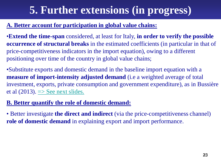# **5. Further extensions (in progress)**

#### <span id="page-22-0"></span>**A. Better account for participation in global value chains:**

•**Extend the time-span** considered, at least for Italy, **in order to verify the possible occurrence of structural breaks** in the estimated coefficients (in particular in that of price-competitiveness indicators in the import equation), owing to a different positioning over time of the country in global value chains;

•Substitute exports and domestic demand in the baseline import equation with a **measure of import-intensity adjusted demand** (i.e a weighted average of total investment, exports, private consumption and government expenditure), as in Bussière et al  $(2013)$ .  $\Rightarrow$  See next slides.

#### **B. Better quantify the role of domestic demand:**

• Better investigate **the direct and indirect** (via the price-competitiveness channel) **role of domestic demand** in explaining export and import performance.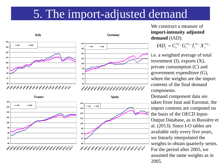# 5. The import-adjusted demand

<span id="page-23-0"></span>



**1996,1 1997,1 1998,1 1999,1 2000,1 2001,1 2002,1 2003,1 2004,1 2005,1 2006,1**

**AD IAD**

**2007 2009,1 2009.1 2019 2011** 

**1993,1** 1994,1<br>1994,1 1995,1



**France** Spain Spain Spain Spain Spain Spain Spain Spain Spain Spain Spain Spain Spain Spain Spain Spain Spain Spain Spain Spain Spain Spain Spain Spain Spain Spain Spain Spain Spain Spain Spain Spain Spain Spain Spain Spa



We construct a measure of **import-intensity adjusted demand** (IAD):

 $IAD_{t} = C_{t}^{\omega_{C,t}} G_{t}^{\omega_{G,t}} I_{t}^{\omega_{I,t}} X_{t}^{\omega_{X,t}}$ 

i.e. a weighted average of total investment (I), exports (X), private consumption (C) and government expenditure (G), where the weights are the import contents of the final demand components.

Demand component data are taken from Istat and Eurostat; the import contents are computed on the basis of the OECD Input-Output Database, as in Bussière et al. (2013). Since I-O tables are available only every five years, we linearly interpolated the weights to obtain quarterly series. For the period after 2005, we assumed the same weights as in 2005.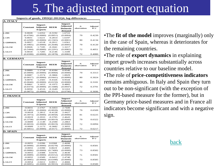# 5. The adjusted import equation

**Imports of goods, 1993Q2-2012Q4, log-differences**

| A. ITALY       |                 |                                       |             |                                                         |                    |                                  |
|----------------|-----------------|---------------------------------------|-------------|---------------------------------------------------------|--------------------|----------------------------------|
|                | <b>Constant</b> | Import-<br>Adjusted<br><b>Exports</b> | <b>REER</b> | Import-<br><b>Adjusted</b><br><b>Domestic</b><br>demand | N.<br>observations | <b>Adjusted</b><br>$R^{\wedge}2$ |
| 1. PPI         | 0.0028          | 1.6352                                | $-0.3192$   | 1.6722                                                  |                    |                                  |
|                | (0.4766)        | (0.0000)                              | (0.0951)    | (0.0004)                                                | 79                 | 0.4239                           |
| 2. CPI         | 0.0031          | 1.6221                                | $-0.2814$   | 1.6197                                                  |                    |                                  |
|                | (0.4299)        | (0.0000)                              | (0.1565)    | (0.0001)                                                | 80                 | 0.4134                           |
| 3. GDPDEFL     | 0.0027          | 1.6518                                | $-0.2011$   | 1.6561                                                  |                    |                                  |
|                | (0.4965)        | (0.0000)                              | (0.2648)    | (0.0005)                                                | 79                 | 0.4120                           |
| <b>4. ULCM</b> | 0.0026          | 1.7185                                | $-0.1841$   | 1.3217                                                  |                    |                                  |
|                | (0.5444)        | (0.0000)                              | (0.2291)    | (0.0082)                                                | 72                 | 0.4051                           |
| 5. ULCT        | 0.0018          | 1.7285                                | $-0.2146$   | 1.3189                                                  |                    |                                  |
|                | (0.6590)        | (0.0000)                              | (0.1878)    | (0.0082)                                                | 72                 | 0.4080                           |
|                |                 |                                       |             |                                                         |                    |                                  |

| <b>B. GERMANY</b> |                 |                                              |             |                                                         |                    |                                  |  |  |  |
|-------------------|-----------------|----------------------------------------------|-------------|---------------------------------------------------------|--------------------|----------------------------------|--|--|--|
|                   | <b>Constant</b> | Import-<br><b>Adjusted</b><br><b>Exports</b> | <b>REER</b> | Import-<br><b>Adjusted</b><br><b>Domestic</b><br>demand | N.<br>observations | <b>Adjusted</b><br>$R^{\wedge}2$ |  |  |  |
| 1. PPI            | 0.0089          | 1.1718                                       | $-0.4184$   | 0.9540                                                  |                    |                                  |  |  |  |
|                   | (0.0009)        | (0.0000)                                     | (0.0068)    | (0.0000)                                                | 79                 | 0.3313                           |  |  |  |
| 2. CPI            | 0.0087          | 1.2574                                       | $-0.3866$   | 1.0029                                                  |                    |                                  |  |  |  |
|                   | (0.0017)        | (0.0000)                                     | (0.0441)    | (0.0000)                                                | 80                 | 0.3024                           |  |  |  |
| 3. GDPDEFL        | 0.0079          | 1.2583                                       | $-0.4326$   | 0.9544                                                  |                    |                                  |  |  |  |
|                   | (0.0040)        | (0.0000)                                     | (0.0159)    | (0.0000)                                                | 80                 | 0.3181                           |  |  |  |
| 4. ULCM           | 0.0061          | 3.1653                                       | $-0.1975$   | 0.4805                                                  |                    |                                  |  |  |  |
|                   | (0.0374)        | (0.0000)                                     | (0.1688)    | (0.0947)                                                | 72                 | 0.3791                           |  |  |  |
| 5. ULCT           | 0.0050          | 3.4516                                       | $-0.1649$   | 0.5163                                                  |                    |                                  |  |  |  |
|                   | (0.0875)        | (0.0000)                                     | (0.3511)    | (0.0790)                                                | 72                 | 0.3696                           |  |  |  |

| <b>C. FRANCE</b> |                 |                                              |             |                                                         |                    |                                  |
|------------------|-----------------|----------------------------------------------|-------------|---------------------------------------------------------|--------------------|----------------------------------|
|                  | <b>Constant</b> | Import-<br><b>Adjusted</b><br><b>Exports</b> | <b>REER</b> | Import-<br><b>Adjusted</b><br><b>Domestic</b><br>demand | N.<br>observations | <b>Adjusted</b><br>$R^{\wedge}2$ |
| 1. PPI           | $-0.0031$       | 2.5767                                       | $-0.3453$   | 2.7449                                                  |                    |                                  |
|                  | (0.1405)        | (0.0000)                                     | (0.0028)    | (0.0000)                                                | 79                 | 0.6509                           |
| 2. CPI           | $-0.0018$       | 2.2812                                       | $-0.4128$   | 2.4427                                                  |                    |                                  |
|                  | (0.3973)        | (0.0000)                                     | (0.0058)    | (0.0000)                                                | 81                 | 0.6225                           |
| 3. GDPDEFL       | $-0.0019$       | 2.2933                                       | $-0.3705$   | 2.4643                                                  |                    |                                  |
|                  | (0.3758)        | (0.0000)                                     | (0.0019)    | (0.0000)                                                | 79                 | 0.6322                           |
| 4. ULCM          | $-0.0009$       | 2.1149                                       | $-0.2590$   | 2.2863                                                  |                    |                                  |
|                  | (0.6810)        | (0.0000)                                     | (0.0619)    | (0.0000)                                                | 72                 | 0.6094                           |
| 5. ULCT          | $-0.0009$       | 2.1173                                       | $-0.3682$   | 2.3055                                                  |                    |                                  |
|                  | (0.6851)        | (0.0000)                                     | (0.017)     | (0.0000)                                                | 72                 | 0.6217                           |
| <b>D. SPAIN</b>  |                 |                                              |             |                                                         |                    |                                  |
|                  | <b>Constant</b> | Import-<br><b>Adjusted</b><br><b>Exports</b> | <b>REER</b> | Import-<br><b>Adjusted</b><br><b>Domestic</b><br>demand | N.<br>observations | <b>Adjusted</b><br>$R^{\wedge}2$ |
| 1. PPI           | $-0.0055$       | 2.0396                                       | 0.0368      | 2.4698                                                  |                    |                                  |
|                  | (0.0090)        | (0.0000)                                     | (0.8278)    | (0.0000)                                                | 71                 | 0.8581                           |
| 2. CPI           | $-0.0055$       | 2.0390                                       | 0.0619      | 2.4685                                                  |                    |                                  |
|                  | (0.0086)        | (0.0000)                                     | (0.7400)    | (0.0000)                                                | 73                 | 0.8582                           |
| 3. GDPDEFL       | $-0.0055$       | 2.0388                                       | 0.0376      | 2.4630                                                  |                    |                                  |
|                  | (0.0089)        | (0.0000)                                     | (0.8152)    | (0.0000)                                                | 71                 | 0.8581                           |
| 4. ULCM          | $-0.0055$       | 2.0589                                       | $-0.0412$   | 2.4740                                                  |                    |                                  |
|                  | (0.0085)        | (0.0000)                                     | (0.6398)    | (0.0000)                                                | 73                 | 0.8585                           |
| 5. ULCT          | $-0.0054$       | 2.0412                                       | 0.0011      | 2.4666                                                  |                    |                                  |
|                  |                 |                                              |             |                                                         |                    |                                  |

•The **fit of the model** improves (marginally) only in the case of Spain, whereas it deteriorates for the remaining countries.

•The role of **export dynamics** in explaining import growth increases substantially across countries relative to our baseline model.

•The role of **price-competitiveness indicators** remains ambiguous. In Italy and Spain they turn out to be non-significant (with the exception of the PPI-based measure for the former), but in Germany price-based measures and in France all indicators become significant and with a negative sign.

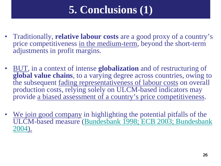# **5. Conclusions (1)**

- Traditionally, **relative labour costs** are a good proxy of a country's price competitiveness in the medium-term, beyond the short-term adjustments in profit margins.
- BUT, in a context of intense **globalization** and of restructuring of **global value chains**, to a varying degree across countries, owing to the subsequent fading representativeness of labour costs on overall production costs, relying solely on ULCM-based indicators may provide a biased assessment of a country's price competitiveness.
- We join good company in highlighting the potential pitfalls of the ULCM-based measure ([Bundesbank 1998; ECB 2003; Bundesbank](#page-32-0)  [2004\)](#page-32-0).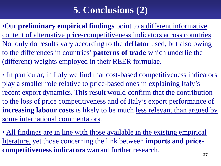# **5. Conclusions (2)**

•Our **preliminary empirical findings** point to a different informative content of alternative price-competitiveness indicators across countries. Not only do results vary according to the **deflator** used, but also owing to the differences in countries' **patterns of trade** which underlie the (different) weights employed in their REER formulae.

• In particular, in Italy we find that cost-based competitiveness indicators play a smaller role relative to price-based ones in explaining Italy's recent export dynamics. This result would confirm that the contribution to the loss of price competitiveness and of Italy's export performance of **increasing labour costs** is likely to be much less relevant than argued by some international commentators.

• All findings are in line with those available in the existing empirical literature, yet those concerning the link between **imports and pricecompetitiveness indicators** warrant further research.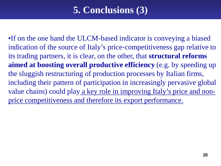## **5. Conclusions (3)**

•If on the one hand the ULCM-based indicator is conveying a biased indication of the source of Italy's price-competitiveness gap relative to its trading partners, it is clear, on the other, that **structural reforms aimed at boosting overall productive efficiency** (e.g. by speeding up the sluggish restructuring of production processes by Italian firms, including their pattern of participation in increasingly pervasive global value chains) could play a key role in improving Italy's price and nonprice competitiveness and therefore its export performance.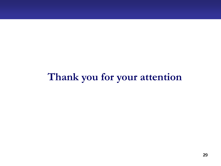# **Thank you for your attention**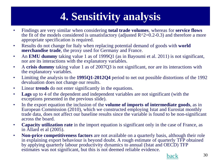# **4. Sensitivity analysis**

- <span id="page-29-0"></span>• Findings are very similar when considering **total trade volumes**, whereas for **service flows**  the fit of the models considered is unsatisfactory (adjusted  $R^2=0.2-0.3$ ) and therefore a more appropriate specification is required.
- Results do not change for Italy when replacing potential demand of goods with **world merchandise trade**, the proxy used for Germany and France.
- An **EMU dummy** taking value 1 as of 1999Q1 (as in Bayoumi et al. 2011) is not significant, nor are its interactions with the explanatory variables.
- A **crisis dummy** taking value 1 as of 2007Q3 is not significant, nor are its interactions with the explanatory variables.
- Limiting the analysis to the **1995Q1-2012Q4** period to net out possible distortions of the 1992 devaluation does not change our results.
- Linear **trends** do not enter significantly in the equations.
- **Lags** up to 4 of the dependent and independent variables are not significant (with the exceptions presented in the previous slide).
- In the export equation the inclusion of the **volume of imports of intermediate goods**, as in European Commission (2010), which we constructed employing Istat and Eurostat monthly trade data, does not affect our baseline results since the variable is found to be non-significant across the board.
- **Capacity utilization rate** in the import equation is significant only in the case of France, as in Allard et al (2005).
- **Non-price competitiveness factors** are not available on a quarterly basis, although their role in explaining export behaviour is beyond doubt. A rough estimate of quarterly TFP obtained by applying quarterly labour productivity dynamics to annual (Istat and OECD) TFP estimates was not significant, but this is not deemed reliable evidence.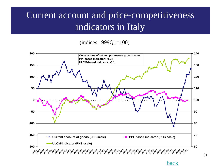## <span id="page-30-0"></span>Current account and price-competitiveness indicators in Italy

#### (indices 1999Q1=100)



31

[back](#page-20-0)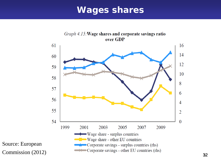### **Wages shares**



Source: European Commission (2012)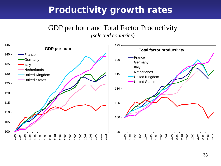### **Productivity growth rates**

# GDP per hour and Total Factor Productivity

*(selected countries)*

<span id="page-32-0"></span>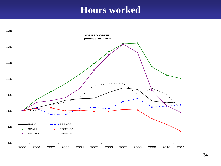### **Hours worked**